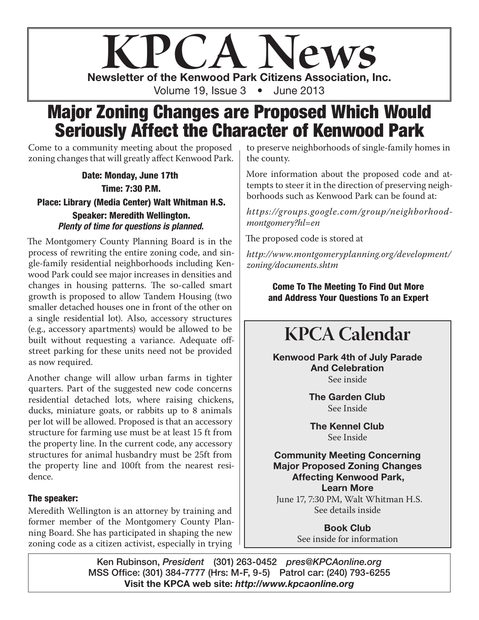# **KPCA News** Newsletter of the Kenwood Park Citizens Association, Inc. Volume 19, Issue 3 • June 2013

# Major Zoning Changes are Proposed Which Would Seriously Affect the Character of Kenwood Park

Come to a community meeting about the proposed zoning changes that will greatly affect Kenwood Park.

Date: Monday, June 17th Time: 7:30 P.M. Place: Library (Media Center) Walt Whitman H.S. Speaker: Meredith Wellington. *Plenty of time for questions is planned.*

The Montgomery County Planning Board is in the process of rewriting the entire zoning code, and single-family residential neighborhoods including Kenwood Park could see major increases in densities and changes in housing patterns. The so-called smart growth is proposed to allow Tandem Housing (two smaller detached houses one in front of the other on a single residential lot). Also, accessory structures (e.g., accessory apartments) would be allowed to be built without requesting a variance. Adequate offstreet parking for these units need not be provided as now required.

Another change will allow urban farms in tighter quarters. Part of the suggested new code concerns residential detached lots, where raising chickens, ducks, miniature goats, or rabbits up to 8 animals per lot will be allowed. Proposed is that an accessory structure for farming use must be at least 15 ft from the property line. In the current code, any accessory structures for animal husbandry must be 25ft from the property line and 100ft from the nearest residence.

#### The speaker:

Meredith Wellington is an attorney by training and former member of the Montgomery County Planning Board. She has participated in shaping the new zoning code as a citizen activist, especially in trying

to preserve neighborhoods of single-family homes in the county.

More information about the proposed code and attempts to steer it in the direction of preserving neighborhoods such as Kenwood Park can be found at:

*https://groups.google.com/group/neighborhoodmontgomery?hl=en*

The proposed code is stored at

*http://www.montgomeryplanning.org/development/ zoning/documents.shtm*

> Come To The Meeting To Find Out More and Address Your Questions To an Expert

# **KPCA Calendar**

Kenwood Park 4th of July Parade And Celebration See inside

> The Garden Club See Inside

The Kennel Club See Inside

Community Meeting Concerning Major Proposed Zoning Changes Affecting Kenwood Park, Learn More June 17, 7:30 PM, Walt Whitman H.S. See details inside

> Book Club See inside for information

Ken Rubinson, *President* (301) 263-0452 *pres@KPCAonline.org* MSS Office: (301) 384-7777 (Hrs: M-F, 9-5) Patrol car: (240) 793-6255 Visit the KPCA web site: *http://www.kpcaonline.org*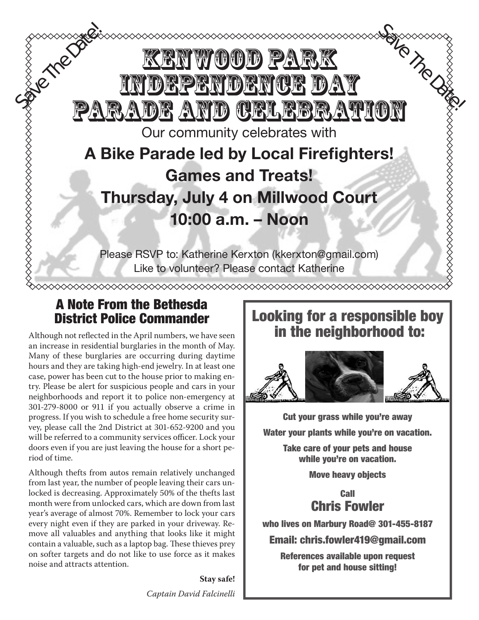# $\mathbb{W}$  (0) (0) for  $\mathbb{P}$  and independence day ADE AND CERLEBRATION Our community celebrates with A Bike Parade led by Local Firefighters! Games and Treats! Thursday, July 4 on Millwood Court 10:00 a.m. – Noon Please RSVP to: Katherine Kerxton (kkerxton@gmail.com) Like to volunteer? Please contact Katherine Save The Date of the Date Sa June Date The Date of the Date of the Date of the Date of the Theory

### A Note From the Bethesda District Police Commander

Although not reflected in the April numbers, we have seen an increase in residential burglaries in the month of May. Many of these burglaries are occurring during daytime hours and they are taking high-end jewelry. In at least one case, power has been cut to the house prior to making entry. Please be alert for suspicious people and cars in your neighborhoods and report it to police non-emergency at 301-279-8000 or 911 if you actually observe a crime in progress. If you wish to schedule a free home security survey, please call the 2nd District at 301-652-9200 and you will be referred to a community services officer. Lock your doors even if you are just leaving the house for a short period of time.

Although thefts from autos remain relatively unchanged from last year, the number of people leaving their cars unlocked is decreasing. Approximately 50% of the thefts last month were from unlocked cars, which are down from last year's average of almost 70%. Remember to lock your cars every night even if they are parked in your driveway. Remove all valuables and anything that looks like it might contain a valuable, such as a laptop bag. These thieves prey on softer targets and do not like to use force as it makes noise and attracts attention.

> **Stay safe!** *Captain David Falcinelli*

## Looking for a responsible boy in the neighborhood to:



Cut your grass while you're away **Water your plants while you're on vacation.** 

**Take care of your pets and house** while you're on vacation.

**Move heavy objects** 

**Call Chris Fowler**  $$ 

who lives on Marbury Road@ 301-455-8187 **\*Take care of your pets, house while**  on marpury **koad@** 301-4

Email: chris.fowler419@gmail.com **\*Move heavy objects** 

References available upon request **CALL CONSUMER SHOWLER WHO CONSUMER Road@ 301-455-8187**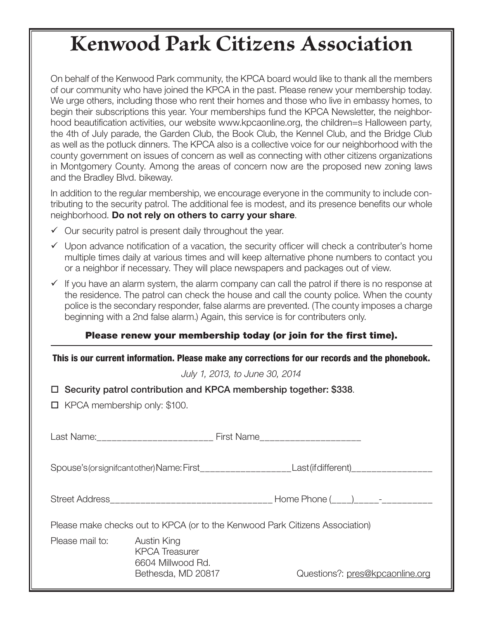# **Kenwood Park Citizens Association**

On behalf of the Kenwood Park community, the KPCA board would like to thank all the members of our community who have joined the KPCA in the past. Please renew your membership today. We urge others, including those who rent their homes and those who live in embassy homes, to begin their subscriptions this year. Your memberships fund the KPCA Newsletter, the neighborhood beautification activities, our website www.kpcaonline.org, the children=s Halloween party, the 4th of July parade, the Garden Club, the Book Club, the Kennel Club, and the Bridge Club as well as the potluck dinners. The KPCA also is a collective voice for our neighborhood with the county government on issues of concern as well as connecting with other citizens organizations in Montgomery County. Among the areas of concern now are the proposed new zoning laws and the Bradley Blvd. bikeway.

In addition to the regular membership, we encourage everyone in the community to include contributing to the security patrol. The additional fee is modest, and its presence benefits our whole neighborhood. Do not rely on others to carry your share.

- $\checkmark$  Our security patrol is present daily throughout the year.
- $\checkmark$  Upon advance notification of a vacation, the security officer will check a contributer's home multiple times daily at various times and will keep alternative phone numbers to contact you or a neighbor if necessary. They will place newspapers and packages out of view.
- $\checkmark$  If you have an alarm system, the alarm company can call the patrol if there is no response at the residence. The patrol can check the house and call the county police. When the county police is the secondary responder, false alarms are prevented. (The county imposes a charge beginning with a 2nd false alarm.) Again, this service is for contributers only.

#### Please renew your membership today (or join for the first time).

*July 1, 2013, to June 30, 2014*

|  |  |  |  |  | □ Security patrol contribution and KPCA membership together: \$338. |
|--|--|--|--|--|---------------------------------------------------------------------|
|--|--|--|--|--|---------------------------------------------------------------------|

 $\Box$  KPCA membership only: \$100.

Last Name: example and the First Name

Spouse's (or signifcant other) Name: First\_\_\_\_\_\_\_\_\_\_\_\_\_\_\_\_\_\_ Last (if different)\_\_\_\_\_\_\_\_\_\_\_\_\_\_\_\_

Street Address\_\_\_\_\_\_\_\_\_\_\_\_\_\_\_\_\_\_\_\_\_\_\_\_\_\_\_\_\_\_\_\_ Home Phone (\_\_\_\_)\_\_\_\_\_-\_\_\_\_\_\_\_\_\_\_

Please make checks out to KPCA (or to the Kenwood Park Citizens Association)

Please mail to: Austin King KPCA Treasurer 6604 Millwood Rd.

Bethesda, MD 20817 Questions?: pres@kpcaonline.org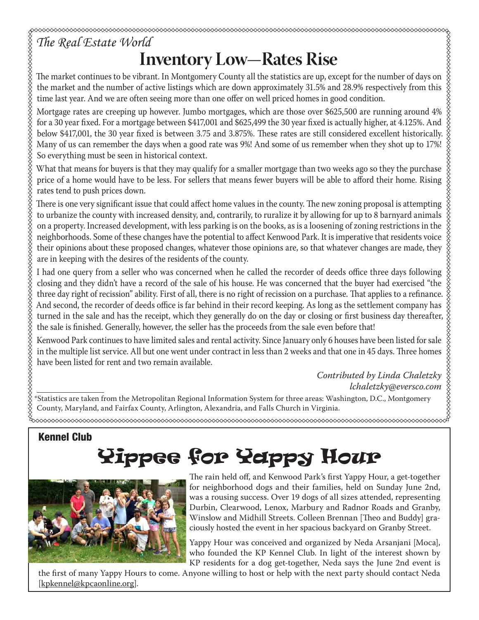# *The Real Estate World* **Inventory Low—Rates Rise**

The market continues to be vibrant. In Montgomery County all the statistics are up, except for the number of days on the market and the number of active listings which are down approximately 31.5% and 28.9% respectively from this time last year. And we are often seeing more than one offer on well priced homes in good condition.

Mortgage rates are creeping up however. Jumbo mortgages, which are those over \$625,500 are running around 4% for a 30 year fixed. For a mortgage between \$417,001 and \$625,499 the 30 year fixed is actually higher, at 4.125%. And below \$417,001, the 30 year fixed is between 3.75 and 3.875%. These rates are still considered excellent historically. Many of us can remember the days when a good rate was 9%! And some of us remember when they shot up to 17%! So everything must be seen in historical context.

What that means for buyers is that they may qualify for a smaller mortgage than two weeks ago so they the purchase price of a home would have to be less. For sellers that means fewer buyers will be able to afford their home. Rising rates tend to push prices down.

There is one very significant issue that could affect home values in the county. The new zoning proposal is attempting to urbanize the county with increased density, and, contrarily, to ruralize it by allowing for up to 8 barnyard animals on a property. Increased development, with less parking is on the books, as is a loosening of zoning restrictions in the neighborhoods. Some of these changes have the potential to affect Kenwood Park. It is imperative that residents voice their opinions about these proposed changes, whatever those opinions are, so that whatever changes are made, they are in keeping with the desires of the residents of the county.

I had one query from a seller who was concerned when he called the recorder of deeds office three days following closing and they didn't have a record of the sale of his house. He was concerned that the buyer had exercised "the three day right of recission" ability. First of all, there is no right of recission on a purchase. That applies to a refinance. And second, the recorder of deeds office is far behind in their record keeping. As long as the settlement company has turned in the sale and has the receipt, which they generally do on the day or closing or first business day thereafter, the sale is finished. Generally, however, the seller has the proceeds from the sale even before that!

Kenwood Park continues to have limited sales and rental activity. Since January only 6 houses have been listed for sale in the multiple list service. All but one went under contract in less than 2 weeks and that one in 45 days. Three homes have been listed for rent and two remain available.

> *Contributed by Linda Chaletzky lchaletzky@eversco.com*

\*Statistics are taken from the Metropolitan Regional Information System for three areas: Washington, D.C., Montgomery County, Maryland, and Fairfax County, Arlington, Alexandria, and Falls Church in Virginia.

# Yippee for Yappy Hour



Kennel Club

The rain held off, and Kenwood Park's first Yappy Hour, a get-together for neighborhood dogs and their families, held on Sunday June 2nd, was a rousing success. Over 19 dogs of all sizes attended, representing Durbin, Clearwood, Lenox, Marbury and Radnor Roads and Granby, Winslow and Midhill Streets. Colleen Brennan [Theo and Buddy] graciously hosted the event in her spacious backyard on Granby Street.

Yappy Hour was conceived and organized by Neda Arsanjani [Moca], who founded the KP Kennel Club. In light of the interest shown by KP residents for a dog get-together, Neda says the June 2nd event is

the first of many Yappy Hours to come. Anyone willing to host or help with the next party should contact Neda [kpkennel@kpcaonline.org].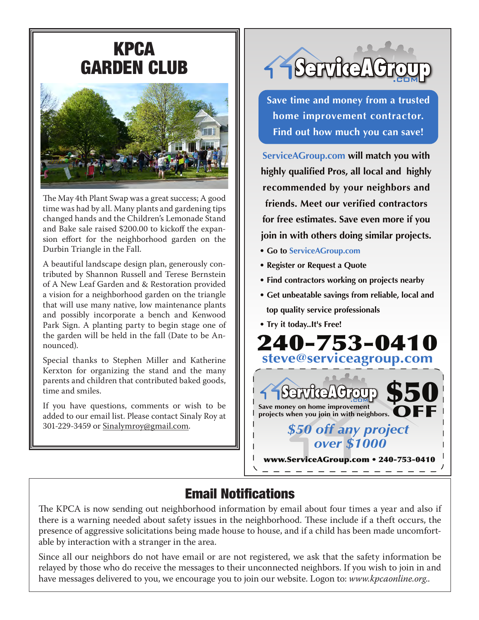# KPCA GARDEN CLUB



The May 4th Plant Swap was a great success; A good time was had by all. Many plants and gardening tips changed hands and the Children's Lemonade Stand and Bake sale raised \$200.00 to kickoff the expansion effort for the neighborhood garden on the Durbin Triangle in the Fall.

A beautiful landscape design plan, generously contributed by Shannon Russell and Terese Bernstein of A New Leaf Garden and & Restoration provided a vision for a neighborhood garden on the triangle that will use many native, low maintenance plants and possibly incorporate a bench and Kenwood Park Sign. A planting party to begin stage one of the garden will be held in the fall (Date to be Announced).

Special thanks to Stephen Miller and Katherine Kerxton for organizing the stand and the many parents and children that contributed baked goods, time and smiles.

If you have questions, comments or wish to be added to our email list. Please contact Sinaly Roy at 301-229-3459 or Sinalymroy@gmail.com.



**Save time and money from a trusted home improvement contractor. Find out how much you can save!**

**ServiceAGroup.com will match you with highly qualified Pros, all local and highly recommended by your neighbors and friends. Meet our verified contractors for free estimates. Save even more if you join in with others doing similar projects.**

- **Go to ServiceAGroup.com**
- **Register or Request a Quote**
- **Find contractors working on projects nearby**
- **Get unbeatable savings from reliable, local and top quality service professionals**
- **Try it today..It's Free!**



# Email Notifications

The KPCA is now sending out neighborhood information by email about four times a year and also if there is a warning needed about safety issues in the neighborhood. These include if a theft occurs, the presence of aggressive solicitations being made house to house, and if a child has been made uncomfortable by interaction with a stranger in the area.

Since all our neighbors do not have email or are not registered, we ask that the safety information be relayed by those who do receive the messages to their unconnected neighbors. If you wish to join in and have messages delivered to you, we encourage you to join our website. Logon to: *www.kpcaonline.org*..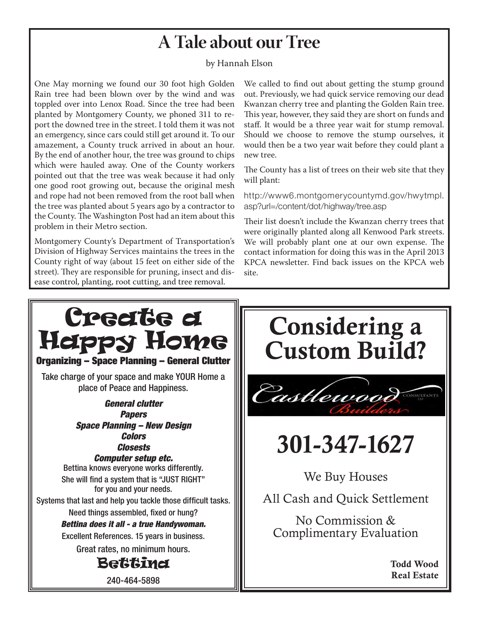#### Crime Reports Online County residents can now track crime reports online, **A Tale about our Tree**

#### by Hannah Elson. Small icons representing types of crime appears on a Google map. Users can  $\mathbb{R}$

One May morning we found our 30 foot high Golden Rain tree had been blown over by the wind and was toppled over into Lenox Road. Since the tree had been planted by Montgomery County, we phoned 311 to report the downed tree in the street. I told them it was not an emergency, since cars could still get around it. To our amazement, a County truck arrived in about an hour. By the end of another hour, the tree was ground to chips which were hauled away. One of the County workers pointed out that the tree was weak because it had only one good root growing out, because the original mesh and rope had not been removed from the root ball when the tree was planted about 5 years ago by a contractor to the County. The Washington Post had an item about this problem in their Metro section.

Montgomery County's Department of Transportation's Division of Highway Services maintains the trees in the County right of way (about 15 feet on either side of the street). They are responsible for pruning, insect and disease control, planting, root cutting, and tree removal.

We called to find out about getting the stump ground out. Previously, we had quick service removing our dead This year, however, they said they are short on funds and staff. It would be a three year wait for stump removal. Should we choose to remove the stump ourselves, it would then be a two year wait before they could plant a h county Police spokesperson in  $\mathbb{R}^n$  and an-Kwanzan cherry tree and planting the Golden Rain tree. new tree.

The County has a list of trees on their web site that they will plant:  $\blacksquare$ 

http://www6.montgomerycountymd.gov/hwytmpl. asp?url=/content/dot/highway/tree.asp

**Bridge** Their list doesn't include the Kwanzan cherry trees that We will probably plant one at our own expense. The contact information for doing this was in the April 2013 KPCA newsletter. Find back issues on the KPCA web  $229-349$ were originally planted along all Kenwood Park streets. site.



Todd Wood Real Estate

**Todd Wood**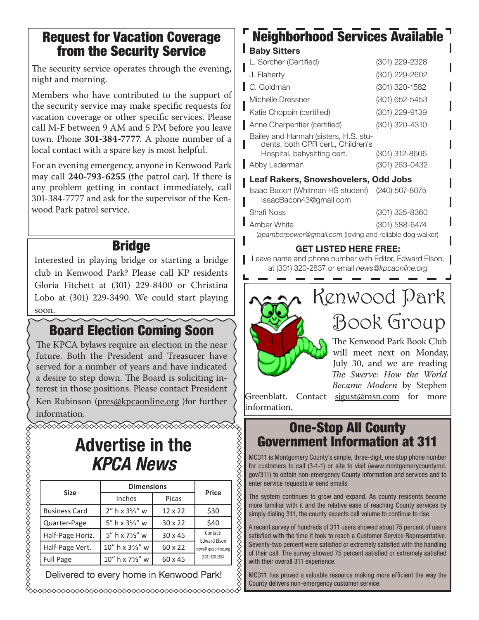### Request for Vacation Coverage from the Security Service

The security service operates through the evening, night and morning.

Members who have contributed to the support of the security service may make specific requests for vacation coverage or other specific services. Please call M-F between 9 AM and 5 PM before you leave town. Phone **301-384-7777**. A phone number of a local contact with a spare key is most helpful.

For an evening emergency, anyone in Kenwood Park may call **240-793-6255** (the patrol car). If there is any problem getting in contact immediately, call 301-384-7777 and ask for the supervisor of the Kenwood Park patrol service.

### **Bridge**

Interested in playing bridge or starting a bridge club in Kenwood Park? Please call KP residents Gloria Fitchett at (301) 229-8400 or Christina Lobo at (301) 229-3490. We could start playing soon.

### Board Election Coming Soon

The KPCA bylaws require an election in the near future. Both the President and Treasurer have served for a number of years and have indicated a desire to step down. The Board is soliciting interest in those positions. Please contact President Ken Rubinson (pres@kpcaonline.org )for further information. **<u> KANANA KANANA KANANA KANANA KAN</u>** 

# Advertise in the *KPCA News*

| <b>Advertise in the</b><br><b>KPCA News</b> |                                          |                |                                                                          |  |  |  |  |  |
|---------------------------------------------|------------------------------------------|----------------|--------------------------------------------------------------------------|--|--|--|--|--|
| <b>Size</b>                                 | <b>Dimensions</b>                        | Price          |                                                                          |  |  |  |  |  |
|                                             | Inches                                   | Picas          |                                                                          |  |  |  |  |  |
| <b>Business Card</b>                        | $2''$ h x $3\frac{2}{3}''$ w             | $12 \times 22$ | \$30                                                                     |  |  |  |  |  |
| Quarter-Page                                | 5" h x 3 <sup>2</sup> / <sub>3</sub> " w | $30 \times 22$ | \$40                                                                     |  |  |  |  |  |
| Half-Page Horiz.                            | $5''$ h x $7\frac{1}{2}''$ w             | $30 \times 45$ | Contact:<br><b>Edward Elson</b><br>news@kpcaonline.org<br>(301) 320-2837 |  |  |  |  |  |
| Half-Page Vert.                             | $10''$ h x $3\frac{2}{3}''$ w            | 60 x 22        |                                                                          |  |  |  |  |  |
| <b>Full Page</b>                            | 10" h x 71/2" w                          | 60 x 45        |                                                                          |  |  |  |  |  |
| Delivered to every home in Kenwood Park!    |                                          |                |                                                                          |  |  |  |  |  |

### Neighborhood Services Available **Baby Sitters**

| L. Sorcher (Certified)                                                     | (301) 229-2328 |  |  |  |  |
|----------------------------------------------------------------------------|----------------|--|--|--|--|
| J. Flaherty                                                                | (301) 229-2602 |  |  |  |  |
| C. Goldman                                                                 | (301) 320-1582 |  |  |  |  |
| Michelle Dressner                                                          | (301) 652-5453 |  |  |  |  |
| Katie Choppin (certified)                                                  | (301) 229-9139 |  |  |  |  |
| Anne Charpentier (certified)                                               | (301) 320-4310 |  |  |  |  |
| Bailey and Hannah (sisters, H.S. stu-<br>dents, both CPR cert., Children's |                |  |  |  |  |
| Hospital, babysitting cert.                                                | (301) 312-8606 |  |  |  |  |
| Abby Lederman                                                              | (301) 263-0432 |  |  |  |  |
| <b>Leaf Rakers, Snowshovelers, Odd Jobs</b>                                |                |  |  |  |  |
| Isaac Bacon (Whitman HS student) (240) 507-8075<br>IsaacBacon43@gmail.com  |                |  |  |  |  |
| Shafi Noss                                                                 | (301) 325-8360 |  |  |  |  |
| Amber White                                                                | (301) 588-6474 |  |  |  |  |
| (apamberpower@gmail.com (loving and reliable dog walker)                   |                |  |  |  |  |

#### GET LISTED HERE FREE:

Leave name and phone number with Editor, Edward Elson, at (301) 320-2837 or email *news@kpcaonline.org*



Greenblatt. Contact sjgust@msn.com for more information.

### One-Stop All County Government Information at 311

MC311 is Montgomery County's simple, three-digit, one stop phone number for customers to call (3-1-1) or site to visit (www.montgomerycountymd. gov/311) to obtain non-emergency County information and services and to enter service requests or send emails.

The system continues to grow and expand. As county residents become more familiar with it and the relative ease of reaching County services by simply dialing 311, the county expects call volume to continue to rise.

A recent survey of hundreds of 311 users showed about 75 percent of users satisfied with the time it took to reach a Customer Service Representative. Seventy-two percent were satisfied or extremely satisfied with the handling of their call. The survey showed 75 percent satisfied or extremely satisfied with their overall 311 experience.

MC311 has proved a valuable resource making more efficient the way the County delivers non-emergency customer service.